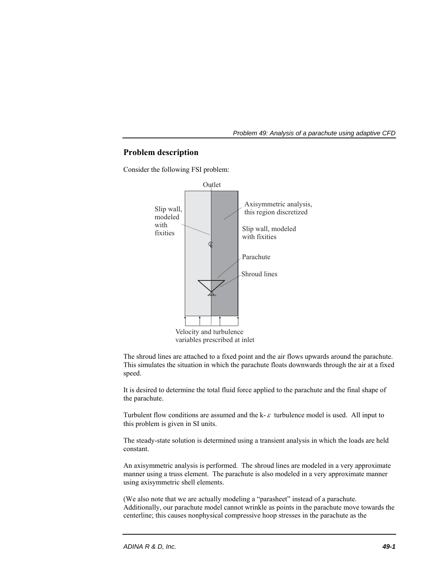# **Problem description**

Consider the following FSI problem:



The shroud lines are attached to a fixed point and the air flows upwards around the parachute. This simulates the situation in which the parachute floats downwards through the air at a fixed speed.

It is desired to determine the total fluid force applied to the parachute and the final shape of the parachute.

Turbulent flow conditions are assumed and the k- $\varepsilon$  turbulence model is used. All input to this problem is given in SI units.

The steady-state solution is determined using a transient analysis in which the loads are held constant.

An axisymmetric analysis is performed. The shroud lines are modeled in a very approximate manner using a truss element. The parachute is also modeled in a very approximate manner using axisymmetric shell elements.

(We also note that we are actually modeling a "parasheet" instead of a parachute. Additionally, our parachute model cannot wrinkle as points in the parachute move towards the centerline; this causes nonphysical compressive hoop stresses in the parachute as the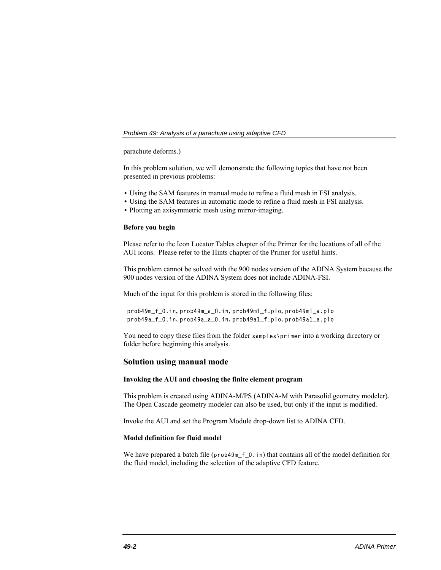parachute deforms.)

In this problem solution, we will demonstrate the following topics that have not been presented in previous problems:

- Using the SAM features in manual mode to refine a fluid mesh in FSI analysis.
- Using the SAM features in automatic mode to refine a fluid mesh in FSI analysis.
- Plotting an axisymmetric mesh using mirror-imaging.

#### **Before you begin**

Please refer to the Icon Locator Tables chapter of the Primer for the locations of all of the AUI icons. Please refer to the Hints chapter of the Primer for useful hints.

This problem cannot be solved with the 900 nodes version of the ADINA System because the 900 nodes version of the ADINA System does not include ADINA-FSI.

Much of the input for this problem is stored in the following files:

## prob49m\_f\_0.in, prob49m\_a\_0.in, prob49m1\_f.plo, prob49m1\_a.plo prob49a\_f\_0.in, prob49a\_a\_0.in, prob49a1\_f.plo, prob49a1\_a.plo

You need to copy these files from the folder samples\primer into a working directory or folder before beginning this analysis.

# **Solution using manual mode**

# **Invoking the AUI and choosing the finite element program**

This problem is created using ADINA-M/PS (ADINA-M with Parasolid geometry modeler). The Open Cascade geometry modeler can also be used, but only if the input is modified.

Invoke the AUI and set the Program Module drop-down list to ADINA CFD.

## **Model definition for fluid model**

We have prepared a batch file (prob49m\_f\_0.in) that contains all of the model definition for the fluid model, including the selection of the adaptive CFD feature.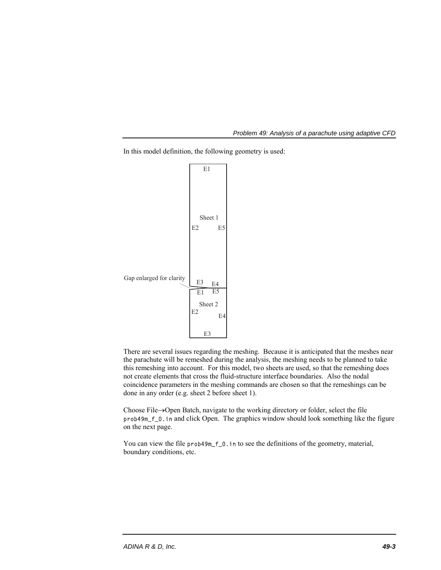In this model definition, the following geometry is used:



There are several issues regarding the meshing. Because it is anticipated that the meshes near the parachute will be remeshed during the analysis, the meshing needs to be planned to take this remeshing into account. For this model, two sheets are used, so that the remeshing does not create elements that cross the fluid-structure interface boundaries. Also the nodal coincidence parameters in the meshing commands are chosen so that the remeshings can be done in any order (e.g. sheet 2 before sheet 1).

Choose File $\rightarrow$ Open Batch, navigate to the working directory or folder, select the file prob49m\_f\_0.in and click Open. The graphics window should look something like the figure on the next page.

You can view the file prob49m\_f\_0. in to see the definitions of the geometry, material, boundary conditions, etc.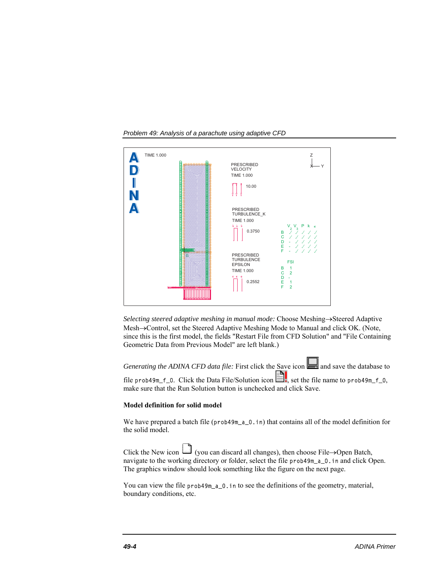

*Selecting steered adaptive meshing in manual mode:* Choose Meshing->Steered Adaptive Mesh->Control, set the Steered Adaptive Meshing Mode to Manual and click OK. (Note, since this is the first model, the fields "Restart File from CFD Solution" and "File Containing Geometric Data from Previous Model" are left blank.)

*Generating the ADINA CFD data file:* First click the Save icon **and save** the database to file prob49m\_f\_0. Click the Data File/Solution icon  $\Box$ , set the file name to prob49m\_f\_0, make sure that the Run Solution button is unchecked and click Save.

## **Model definition for solid model**

We have prepared a batch file (prob49m\_a\_0.in) that contains all of the model definition for the solid model.

Click the New icon  $\Box$  (you can discard all changes), then choose File $\rightarrow$ Open Batch, navigate to the working directory or folder, select the file prob49m\_a\_0.in and click Open. The graphics window should look something like the figure on the next page.

You can view the file prob49m\_a\_0. in to see the definitions of the geometry, material, boundary conditions, etc.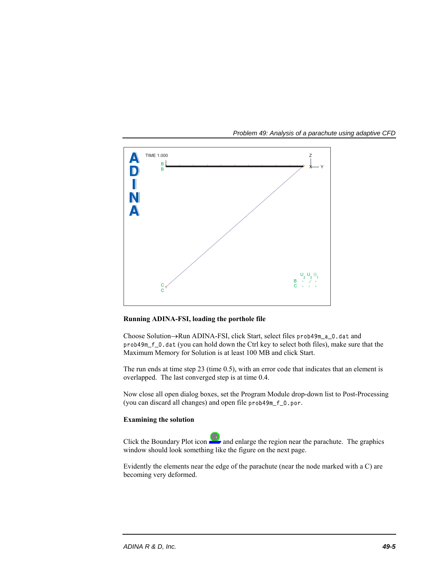

## **Running ADINA-FSI, loading the porthole file**

Choose Solution->Run ADINA-FSI, click Start, select files prob49m\_a\_0.dat and prob49m\_f\_0.dat (you can hold down the Ctrl key to select both files), make sure that the Maximum Memory for Solution is at least 100 MB and click Start.

The run ends at time step 23 (time 0.5), with an error code that indicates that an element is overlapped. The last converged step is at time 0.4.

Now close all open dialog boxes, set the Program Module drop-down list to Post-Processing (you can discard all changes) and open file prob49m\_f\_0.por.

# **Examining the solution**

Click the Boundary Plot icon  $\blacksquare$  and enlarge the region near the parachute. The graphics window should look something like the figure on the next page.

Evidently the elements near the edge of the parachute (near the node marked with a C) are becoming very deformed.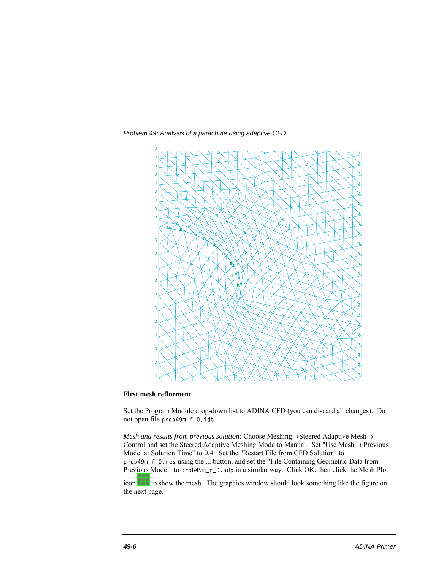*Problem 49: Analysis of a parachute using adaptive CFD* 



### **First mesh refinement**

Set the Program Module drop-down list to ADINA CFD (you can discard all changes). Do not open file prob49m\_f\_0.idb.

*Mesh and results from previous solution:* Choose Meshing -> Steered Adaptive Mesh -> Control and set the Steered Adaptive Meshing Mode to Manual. Set "Use Mesh in Previous Model at Solution Time" to 0.4. Set the "Restart File from CFD Solution" to prob49m\_f\_0.res using the ... button, and set the "File Containing Geometric Data from Previous Model" to prob49m\_f\_0.adp in a similar way. Click OK, then click the Mesh Plot

icon **the show the mesh.** The graphics window should look something like the figure on the next page.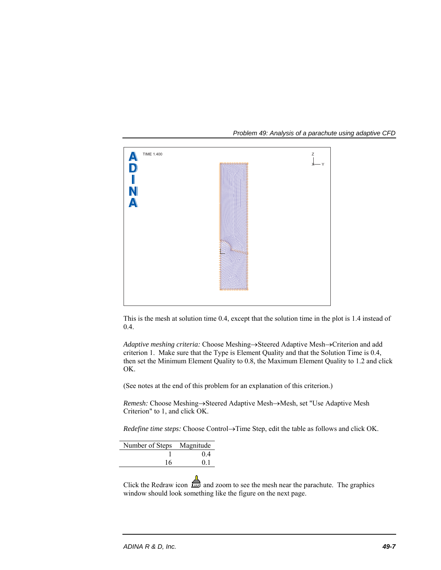

This is the mesh at solution time 0.4, except that the solution time in the plot is 1.4 instead of 0.4.

Adaptive meshing criteria: Choose Meshing->Steered Adaptive Mesh->Criterion and add criterion 1. Make sure that the Type is Element Quality and that the Solution Time is 0.4, then set the Minimum Element Quality to 0.8, the Maximum Element Quality to 1.2 and click OK.

(See notes at the end of this problem for an explanation of this criterion.)

*Remesh:* Choose Meshing->Steered Adaptive Mesh->Mesh, set "Use Adaptive Mesh Criterion" to 1, and click OK.

 $Redefine time steps: Choose Control \to Time Step, edit the table as follows and click OK.$ 

| Number of Steps Magnitude |
|---------------------------|
| 04                        |
| 01                        |
|                           |

Click the Redraw icon and zoom to see the mesh near the parachute. The graphics window should look something like the figure on the next page.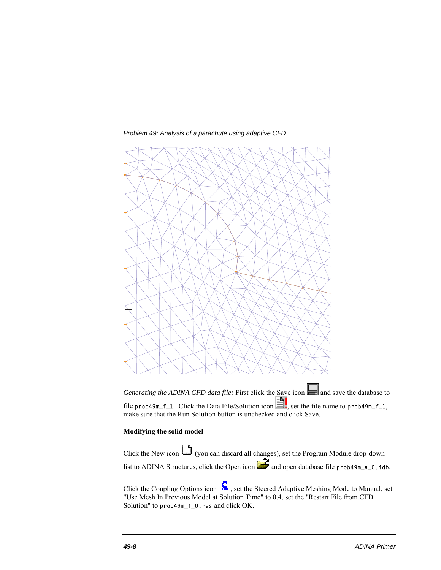

*Generating the ADINA CFD data file:* First click the Save icon **a** and save the database to file prob49m\_f\_1. Click the Data File/Solution icon  $\Box$ , set the file name to prob49m\_f\_1, make sure that the Run Solution button is unchecked and click Save.

### **Modifying the solid model**

Click the New icon  $\Box$  (you can discard all changes), set the Program Module drop-down list to ADINA Structures, click the Open icon  $\sum$  and open database file prob49m\_a\_0.idb.

Click the Coupling Options icon  $\mathbf{C}$ , set the Steered Adaptive Meshing Mode to Manual, set "Use Mesh In Previous Model at Solution Time" to 0.4, set the "Restart File from CFD Solution" to prob49m\_f\_0.res and click OK.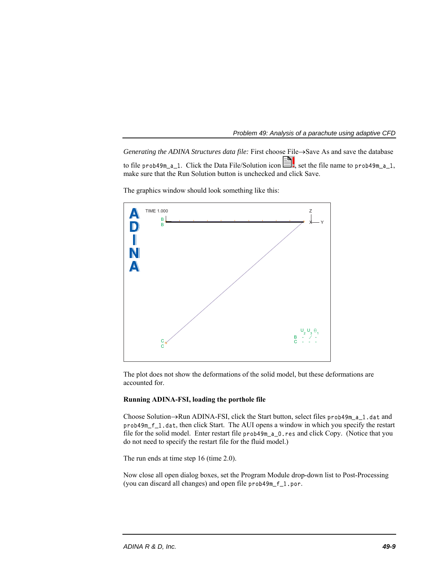*Generating the ADINA Structures data file:* First choose File $\rightarrow$ Save As and save the database to file prob49m\_a\_1. Click the Data File/Solution icon  $\Box$ , set the file name to prob49m\_a\_1, make sure that the Run Solution button is unchecked and click Save.



The graphics window should look something like this:

The plot does not show the deformations of the solid model, but these deformations are accounted for.

# **Running ADINA-FSI, loading the porthole file**

Choose Solution $\rightarrow$ Run ADINA-FSI, click the Start button, select files prob49m\_a\_1.dat and prob49m\_f\_1.dat, then click Start. The AUI opens a window in which you specify the restart file for the solid model. Enter restart file prob49m\_a\_0.res and click Copy. (Notice that you do not need to specify the restart file for the fluid model.)

The run ends at time step 16 (time 2.0).

Now close all open dialog boxes, set the Program Module drop-down list to Post-Processing (you can discard all changes) and open file prob49m\_f\_1.por.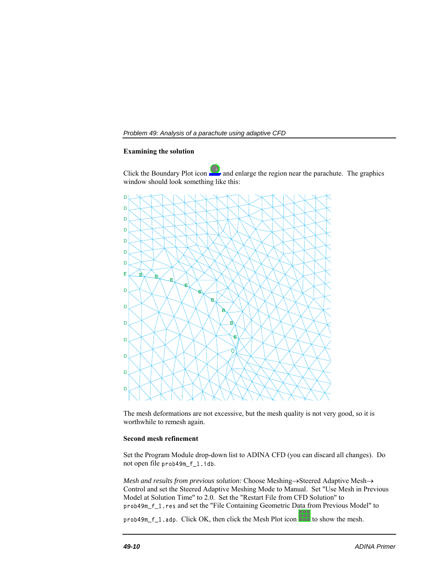#### **Examining the solution**

Click the Boundary Plot icon  $\blacktriangle$  and enlarge the region near the parachute. The graphics window should look something like this:



The mesh deformations are not excessive, but the mesh quality is not very good, so it is worthwhile to remesh again.

# **Second mesh refinement**

Set the Program Module drop-down list to ADINA CFD (you can discard all changes). Do not open file prob49m\_f\_1.idb.

*Mesh and results from previous solution:* Choose Meshing->Steered Adaptive Mesh-> Control and set the Steered Adaptive Meshing Mode to Manual. Set "Use Mesh in Previous Model at Solution Time" to 2.0. Set the "Restart File from CFD Solution" to prob49m\_f\_1.res and set the "File Containing Geometric Data from Previous Model" to

 $prob49m_f_1$ . adp. Click OK, then click the Mesh Plot icon  $\Box$  to show the mesh.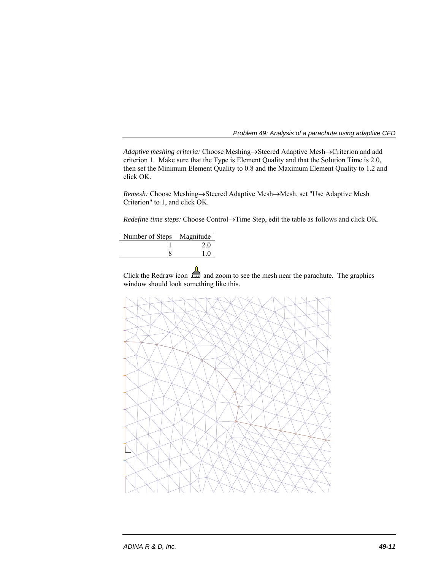*Adaptive meshing criteria:* Choose Meshing->Steered Adaptive Mesh->Criterion and add criterion 1. Make sure that the Type is Element Quality and that the Solution Time is 2.0, then set the Minimum Element Quality to 0.8 and the Maximum Element Quality to 1.2 and click OK.

*Remesh:* Choose Meshing->Steered Adaptive Mesh->Mesh, set "Use Adaptive Mesh Criterion" to 1, and click OK.

*Redefine time steps:* Choose Control->Time Step, edit the table as follows and click OK.

| Number of Steps Magnitude |    |
|---------------------------|----|
|                           | 20 |
|                           | 10 |
|                           |    |

Click the Redraw icon  $\frac{1}{2}$  and zoom to see the mesh near the parachute. The graphics window should look something like this.

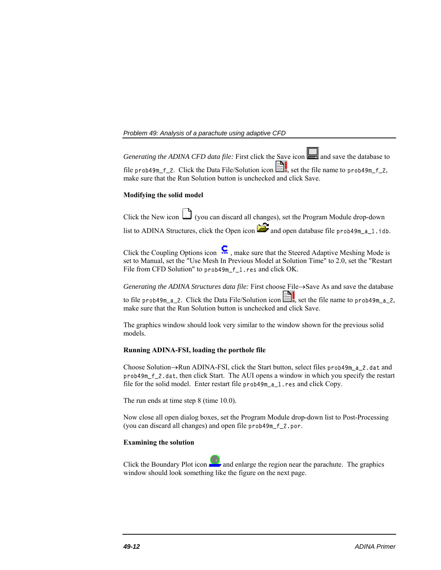*Generating the ADINA CFD data file:* First click the Save icon **and** and save the database to file prob49m\_f\_2. Click the Data File/Solution icon  $\Box$ , set the file name to prob49m\_f\_2,

make sure that the Run Solution button is unchecked and click Save.

## **Modifying the solid model**

Click the New icon (you can discard all changes), set the Program Module drop-down

list to ADINA Structures, click the Open icon  $\sum$  and open database file prob49m\_a\_1.idb.

Click the Coupling Options icon  $\ddots$ , make sure that the Steered Adaptive Meshing Mode is set to Manual, set the "Use Mesh In Previous Model at Solution Time" to 2.0, set the "Restart File from CFD Solution" to prob49m\_f\_1.res and click OK.

*Generating the ADINA Structures data file:* First choose File $\rightarrow$ Save As and save the database to file prob49m\_a\_2. Click the Data File/Solution icon  $\Box$ , set the file name to prob49m\_a\_2, make sure that the Run Solution button is unchecked and click Save.

The graphics window should look very similar to the window shown for the previous solid models.

## **Running ADINA-FSI, loading the porthole file**

Choose Solution->Run ADINA-FSI, click the Start button, select files prob49m\_a\_2.dat and prob49m\_f\_2.dat, then click Start. The AUI opens a window in which you specify the restart file for the solid model. Enter restart file prob49m\_a\_1.res and click Copy.

The run ends at time step 8 (time 10.0).

Now close all open dialog boxes, set the Program Module drop-down list to Post-Processing (you can discard all changes) and open file prob49m\_f\_2.por.

## **Examining the solution**

Click the Boundary Plot icon  $\bullet$  and enlarge the region near the parachute. The graphics window should look something like the figure on the next page.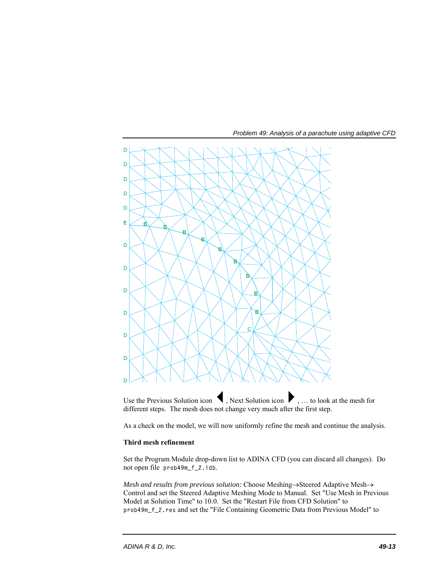



As a check on the model, we will now uniformly refine the mesh and continue the analysis.

## **Third mesh refinement**

Set the Program Module drop-down list to ADINA CFD (you can discard all changes). Do not open file prob49m\_f\_2.idb.

*Mesh and results from previous solution:* Choose Meshing->Steered Adaptive Mesh-> Control and set the Steered Adaptive Meshing Mode to Manual. Set "Use Mesh in Previous Model at Solution Time" to 10.0. Set the "Restart File from CFD Solution" to prob49m\_f\_2.res and set the "File Containing Geometric Data from Previous Model" to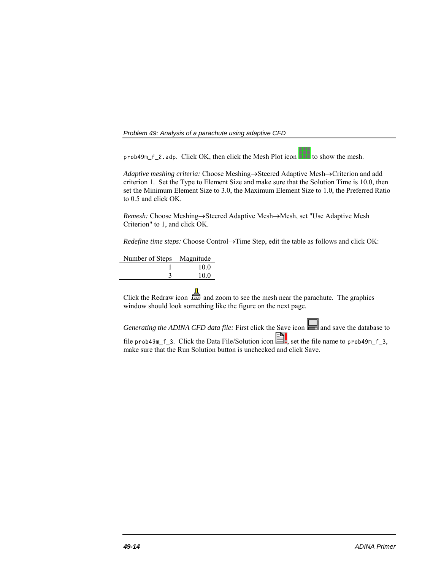$prob49m_f_2$ . adp. Click OK, then click the Mesh Plot icon  $\Box$  to show the mesh.

Adaptive meshing criteria: Choose Meshing->Steered Adaptive Mesh->Criterion and add criterion 1. Set the Type to Element Size and make sure that the Solution Time is 10.0, then set the Minimum Element Size to 3.0, the Maximum Element Size to 1.0, the Preferred Ratio to 0.5 and click OK.

*Remesh:* Choose Meshing->Steered Adaptive Mesh->Mesh, set "Use Adaptive Mesh Criterion" to 1, and click OK.

*Redefine time steps:* Choose Control $\rightarrow$ Time Step, edit the table as follows and click OK:

| Number of Steps Magnitude |      |
|---------------------------|------|
|                           | 10.0 |
|                           | 10.0 |
|                           |      |

Click the Redraw icon  $\mathbf{r}$  and zoom to see the mesh near the parachute. The graphics window should look something like the figure on the next page.

*Generating the ADINA CFD data file:* First click the Save icon **and save the database to** file prob49m\_f\_3. Click the Data File/Solution icon  $\Box$ , set the file name to prob49m\_f\_3, make sure that the Run Solution button is unchecked and click Save.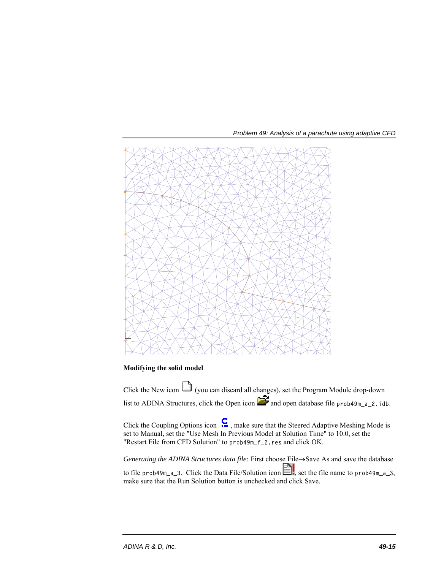



# **Modifying the solid model**

Click the New icon  $\Box$  (you can discard all changes), set the Program Module drop-down list to ADINA Structures, click the Open icon  $\sum$  and open database file prob49m\_a\_2.idb.

Click the Coupling Options icon  $\mathbf{S}$ , make sure that the Steered Adaptive Meshing Mode is set to Manual, set the "Use Mesh In Previous Model at Solution Time" to 10.0, set the "Restart File from CFD Solution" to prob49m\_f\_2.res and click OK.

*Generating the ADINA Structures data file:* First choose File->Save As and save the database to file prob49m\_a\_3. Click the Data File/Solution icon  $\Box$ , set the file name to prob49m\_a\_3, make sure that the Run Solution button is unchecked and click Save.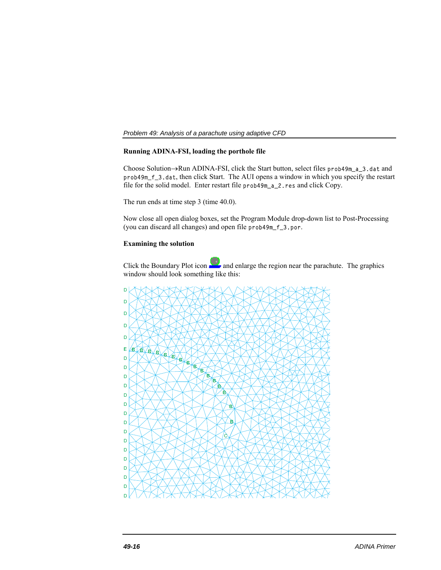# **Running ADINA-FSI, loading the porthole file**

Choose Solution $\rightarrow$ Run ADINA-FSI, click the Start button, select files prob49m\_a\_3.dat and prob49m\_f\_3.dat, then click Start. The AUI opens a window in which you specify the restart file for the solid model. Enter restart file prob49m\_a\_2.res and click Copy.

The run ends at time step 3 (time 40.0).

Now close all open dialog boxes, set the Program Module drop-down list to Post-Processing (you can discard all changes) and open file prob49m\_f\_3.por.

# **Examining the solution**

Click the Boundary Plot icon and enlarge the region near the parachute. The graphics window should look something like this:

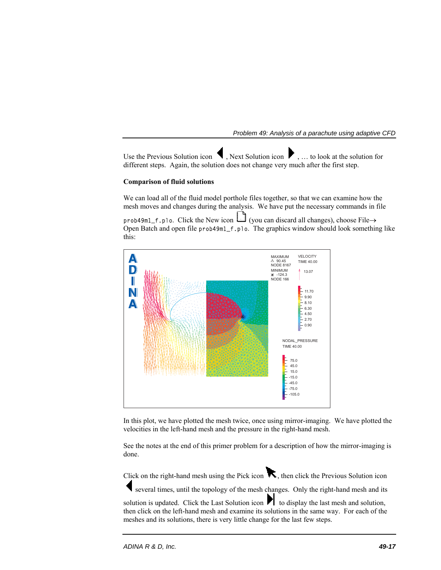Use the Previous Solution icon  $\blacksquare$ , Next Solution icon  $\blacksquare$ , ... to look at the solution for different steps. Again, the solution does not change very much after the first step.

# **Comparison of fluid solutions**

We can load all of the fluid model porthole files together, so that we can examine how the mesh moves and changes during the analysis. We have put the necessary commands in file

 $prob49m1_f$ .plo. Click the New icon  $\Box$  (you can discard all changes), choose File $\rightarrow$ Open Batch and open file prob49m1\_f.plo. The graphics window should look something like this:



In this plot, we have plotted the mesh twice, once using mirror-imaging. We have plotted the velocities in the left-hand mesh and the pressure in the right-hand mesh.

See the notes at the end of this primer problem for a description of how the mirror-imaging is done.

Click on the right-hand mesh using the Pick icon  $\mathbf{\kappa}$ , then click the Previous Solution icon

several times, until the topology of the mesh changes. Only the right-hand mesh and its

solution is updated. Click the Last Solution icon  $\blacksquare$  to display the last mesh and solution, then click on the left-hand mesh and examine its solutions in the same way. For each of the meshes and its solutions, there is very little change for the last few steps.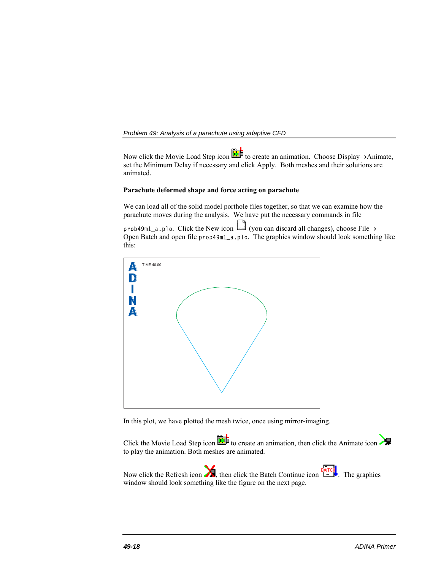Now click the Movie Load Step icon  $\overline{R}$  to create an animation. Choose Display->Animate, set the Minimum Delay if necessary and click Apply. Both meshes and their solutions are animated.

# **Parachute deformed shape and force acting on parachute**

We can load all of the solid model porthole files together, so that we can examine how the parachute moves during the analysis. We have put the necessary commands in file

prob49m1\_a.plo. Click the New icon (you can discard all changes), choose File→ Open Batch and open file prob49m1\_a.plo. The graphics window should look something like this:



In this plot, we have plotted the mesh twice, once using mirror-imaging.

Click the Movie Load Step icon  $\overline{N}$  to create an animation, then click the Animate icon to play the animation. Both meshes are animated.

Now click the Refresh icon  $\sum$ , then click the Batch Continue icon  $\stackrel{BATEH}{\longrightarrow}$ . The graphics window should look something like the figure on the next page.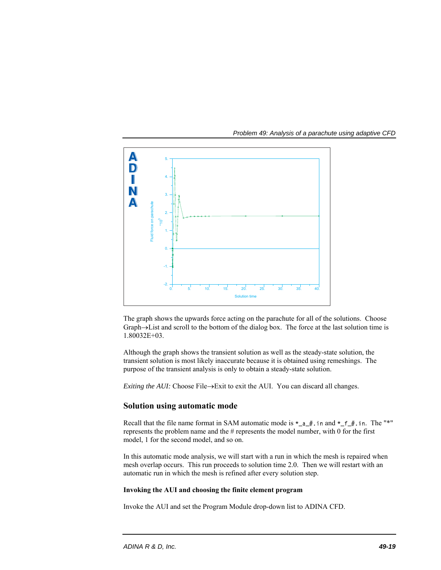

The graph shows the upwards force acting on the parachute for all of the solutions. Choose Graph->List and scroll to the bottom of the dialog box. The force at the last solution time is 1.80032E+03.

Although the graph shows the transient solution as well as the steady-state solution, the transient solution is most likely inaccurate because it is obtained using remeshings. The purpose of the transient analysis is only to obtain a steady-state solution.

*Exiting the AUI:* Choose File $\rightarrow$ Exit to exit the AUI. You can discard all changes.

# **Solution using automatic mode**

Recall that the file name format in SAM automatic mode is  $*_{a} \#$ . in and  $*_{f} \#$ . in. The "\*" represents the problem name and the # represents the model number, with 0 for the first model, 1 for the second model, and so on.

In this automatic mode analysis, we will start with a run in which the mesh is repaired when mesh overlap occurs. This run proceeds to solution time 2.0. Then we will restart with an automatic run in which the mesh is refined after every solution step.

#### **Invoking the AUI and choosing the finite element program**

Invoke the AUI and set the Program Module drop-down list to ADINA CFD.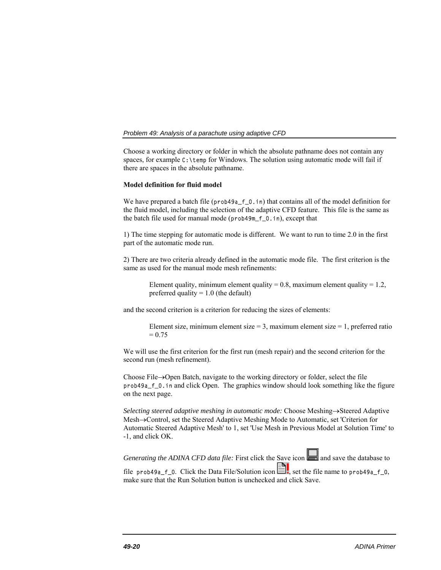Choose a working directory or folder in which the absolute pathname does not contain any spaces, for example  $C:\temp$  for Windows. The solution using automatic mode will fail if there are spaces in the absolute pathname.

#### **Model definition for fluid model**

We have prepared a batch file (prob49a\_f\_0.in) that contains all of the model definition for the fluid model, including the selection of the adaptive CFD feature. This file is the same as the batch file used for manual mode (prob49m\_f\_0.in), except that

1) The time stepping for automatic mode is different. We want to run to time 2.0 in the first part of the automatic mode run.

2) There are two criteria already defined in the automatic mode file. The first criterion is the same as used for the manual mode mesh refinements:

Element quality, minimum element quality =  $0.8$ , maximum element quality =  $1.2$ , preferred quality  $= 1.0$  (the default)

and the second criterion is a criterion for reducing the sizes of elements:

Element size, minimum element size = 3, maximum element size = 1, preferred ratio  $= 0.75$ 

We will use the first criterion for the first run (mesh repair) and the second criterion for the second run (mesh refinement).

Choose File $\rightarrow$ Open Batch, navigate to the working directory or folder, select the file prob49a\_f\_0.in and click Open. The graphics window should look something like the figure on the next page.

*Selecting steered adaptive meshing in automatic mode:* Choose Meshing->Steered Adaptive Mesh $\rightarrow$ Control, set the Steered Adaptive Meshing Mode to Automatic, set 'Criterion for Automatic Steered Adaptive Mesh' to 1, set 'Use Mesh in Previous Model at Solution Time' to -1, and click OK.

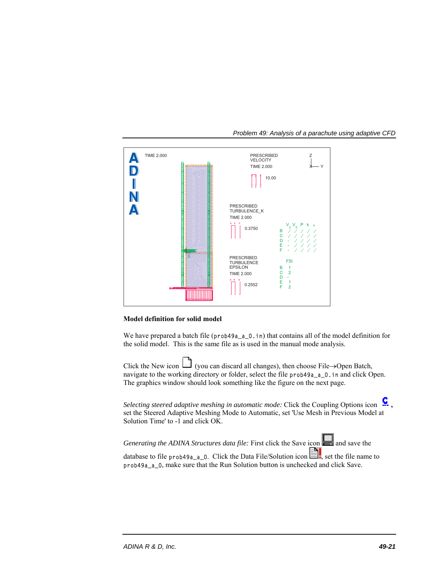

*Problem 49: Analysis of a parachute using adaptive CFD* 

## **Model definition for solid model**

We have prepared a batch file  $(prob49a_a_0_0.in)$  that contains all of the model definition for the solid model. This is the same file as is used in the manual mode analysis.

Click the New icon (you can discard all changes), then choose File $\rightarrow$ Open Batch, navigate to the working directory or folder, select the file prob49a<sub>-a-0</sub>.in and click Open. The graphics window should look something like the figure on the next page.

*Selecting steered adaptive meshing in automatic mode:* Click the Coupling Options icon  $\cdot$ , set the Steered Adaptive Meshing Mode to Automatic, set 'Use Mesh in Previous Model at Solution Time' to -1 and click OK.

*Generating the ADINA Structures data file:* First click the Save icon and save the database to file prob49a\_a\_0. Click the Data File/Solution icon  $\Box$ , set the file name to prob49a\_a\_0, make sure that the Run Solution button is unchecked and click Save.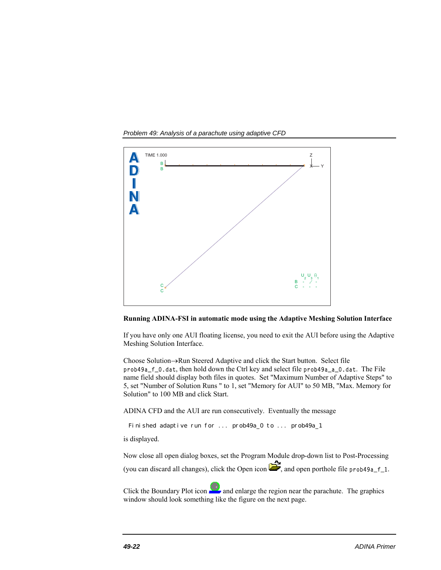*Problem 49: Analysis of a parachute using adaptive CFD* 



**Running ADINA-FSI in automatic mode using the Adaptive Meshing Solution Interface** 

If you have only one AUI floating license, you need to exit the AUI before using the Adaptive Meshing Solution Interface.

Choose Solution $\rightarrow$ Run Steered Adaptive and click the Start button. Select file prob49a\_f\_0.dat, then hold down the Ctrl key and select file prob49a\_a\_0.dat. The File name field should display both files in quotes. Set "Maximum Number of Adaptive Steps" to 5, set "Number of Solution Runs " to 1, set "Memory for AUI" to 50 MB, "Max. Memory for Solution" to 100 MB and click Start.

ADINA CFD and the AUI are run consecutively. Eventually the message

Finished adaptive run for ... prob49a\_0 to ... prob49a\_1

is displayed.

Now close all open dialog boxes, set the Program Module drop-down list to Post-Processing (you can discard all changes), click the Open icon  $\mathbb{Z}$ , and open porthole file prob49a\_f\_1.

Click the Boundary Plot icon  $\Box$  and enlarge the region near the parachute. The graphics window should look something like the figure on the next page.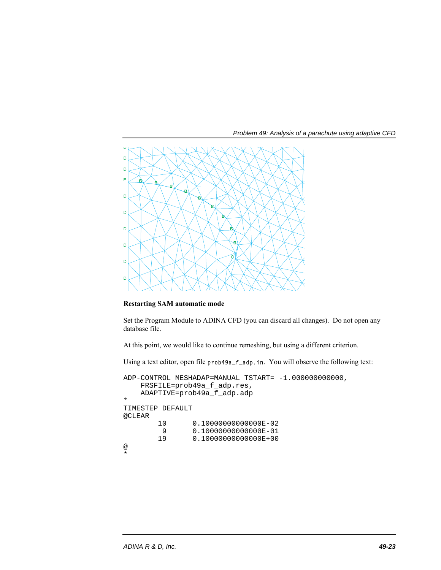

**Restarting SAM automatic mode** 

Set the Program Module to ADINA CFD (you can discard all changes). Do not open any database file.

At this point, we would like to continue remeshing, but using a different criterion.

Using a text editor, open file prob49a\_f\_adp.in. You will observe the following text:

```
ADP-CONTROL MESHADAP=MANUAL TSTART= -1.000000000000, 
     FRSFILE=prob49a_f_adp.res, 
     ADAPTIVE=prob49a_f_adp.adp 
* 
TIMESTEP DEFAULT 
@CLEAR 
          10 0.10000000000000E-02<br>9 0.10000000000000E-01
          9 0.100000000000000E-01<br>19 0.100000000000000E+00
                    0.1000000000000E+00
@ 
*
```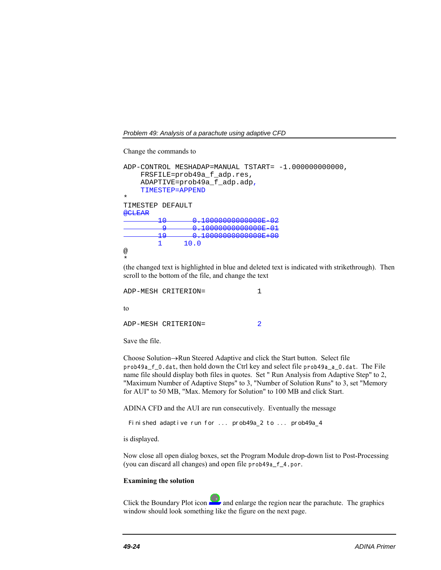*Problem 49: Analysis of a parachute using adaptive CFD* 

Change the commands to

```
ADP-CONTROL MESHADAP=MANUAL TSTART= -1.000000000000, 
     FRSFILE=prob49a_f_adp.res, 
     ADAPTIVE=prob49a_f_adp.adp, 
     TIMESTEP=APPEND 
* 
TIMESTEP DEFAULT 
@CLEAR 
         10 0.10000000000000E-02 
         9 0.10000000000000E-01 
         19 0.10000000000000E+00 
              10.0@ 
*
```
(the changed text is highlighted in blue and deleted text is indicated with strikethrough). Then scroll to the bottom of the file, and change the text

```
ADP-MESH CRITERION= 1
to 
ADP-MESH CRITERION= 2
```
Save the file.

Choose Solution $\rightarrow$ Run Steered Adaptive and click the Start button. Select file prob49a\_f\_0.dat, then hold down the Ctrl key and select file prob49a\_a\_0.dat. The File name file should display both files in quotes. Set " Run Analysis from Adaptive Step" to 2, "Maximum Number of Adaptive Steps" to 3, "Number of Solution Runs" to 3, set "Memory for AUI" to 50 MB, "Max. Memory for Solution" to 100 MB and click Start.

ADINA CFD and the AUI are run consecutively. Eventually the message

Finished adaptive run for ... prob49a\_2 to ... prob49a\_4

is displayed.

Now close all open dialog boxes, set the Program Module drop-down list to Post-Processing (you can discard all changes) and open file prob49a\_f\_4.por.

#### **Examining the solution**

Click the Boundary Plot icon  $\Box$  and enlarge the region near the parachute. The graphics window should look something like the figure on the next page.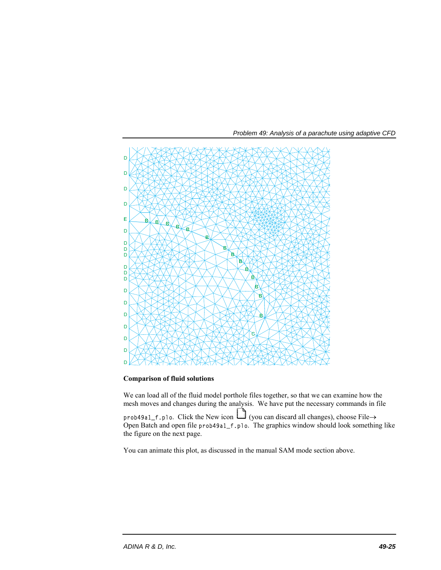



**Comparison of fluid solutions** 

We can load all of the fluid model porthole files together, so that we can examine how the mesh moves and changes during the analysis. We have put the necessary commands in file

prob49a1\_f.plo. Click the New icon (you can discard all changes), choose File→ Open Batch and open file prob49a1\_f.plo. The graphics window should look something like the figure on the next page.

You can animate this plot, as discussed in the manual SAM mode section above.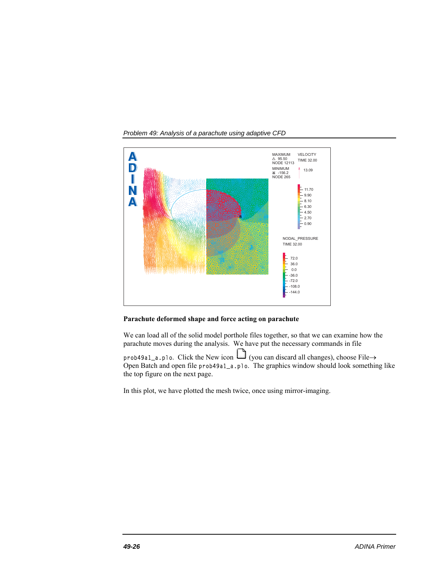*Problem 49: Analysis of a parachute using adaptive CFD* 



## **Parachute deformed shape and force acting on parachute**

We can load all of the solid model porthole files together, so that we can examine how the parachute moves during the analysis. We have put the necessary commands in file

 $prob49a1_a, p10$ . Click the New icon  $\Box$  (you can discard all changes), choose File  $\rightarrow$ Open Batch and open file prob49a1\_a.plo. The graphics window should look something like the top figure on the next page.

In this plot, we have plotted the mesh twice, once using mirror-imaging.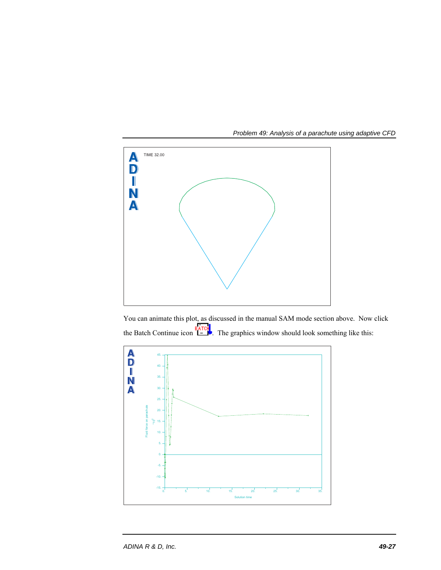

You can animate this plot, as discussed in the manual SAM mode section above. Now click the Batch Continue icon  $\overline{E}$ . The graphics window should look something like this:

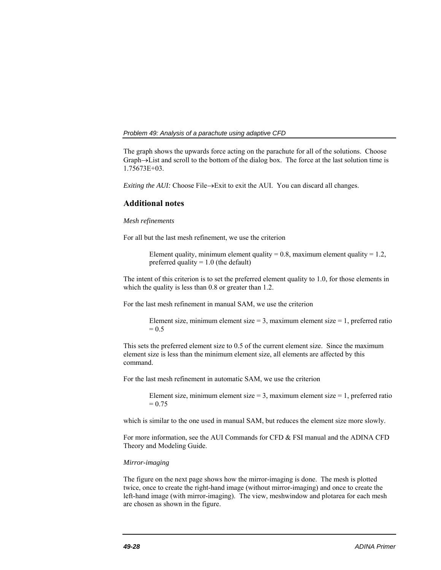The graph shows the upwards force acting on the parachute for all of the solutions. Choose  $Graph \rightarrow List$  and scroll to the bottom of the dialog box. The force at the last solution time is 1.75673E+03.

*Exiting the AUI:* Choose File $\rightarrow$ Exit to exit the AUI. You can discard all changes.

## **Additional notes**

#### *Mesh refinements*

For all but the last mesh refinement, we use the criterion

Element quality, minimum element quality =  $0.8$ , maximum element quality =  $1.2$ , preferred quality  $= 1.0$  (the default)

The intent of this criterion is to set the preferred element quality to 1.0, for those elements in which the quality is less than 0.8 or greater than 1.2.

For the last mesh refinement in manual SAM, we use the criterion

Element size, minimum element size =  $3$ , maximum element size =  $1$ , preferred ratio  $= 0.5$ 

This sets the preferred element size to 0.5 of the current element size. Since the maximum element size is less than the minimum element size, all elements are affected by this command.

For the last mesh refinement in automatic SAM, we use the criterion

Element size, minimum element size =  $3$ , maximum element size =  $1$ , preferred ratio  $= 0.75$ 

which is similar to the one used in manual SAM, but reduces the element size more slowly.

For more information, see the AUI Commands for CFD & FSI manual and the ADINA CFD Theory and Modeling Guide.

#### *Mirror-imaging*

The figure on the next page shows how the mirror-imaging is done. The mesh is plotted twice, once to create the right-hand image (without mirror-imaging) and once to create the left-hand image (with mirror-imaging). The view, meshwindow and plotarea for each mesh are chosen as shown in the figure.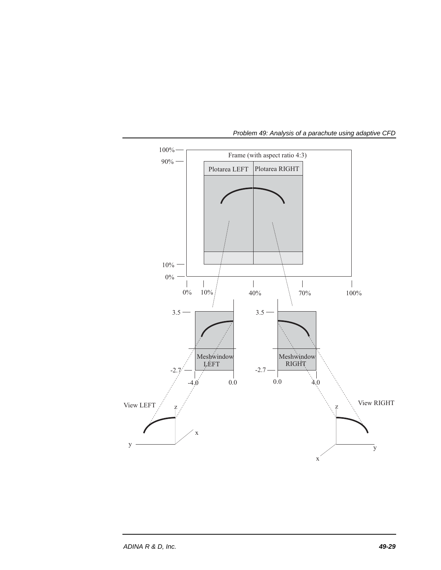

*Problem 49: Analysis of a parachute using adaptive CFD*